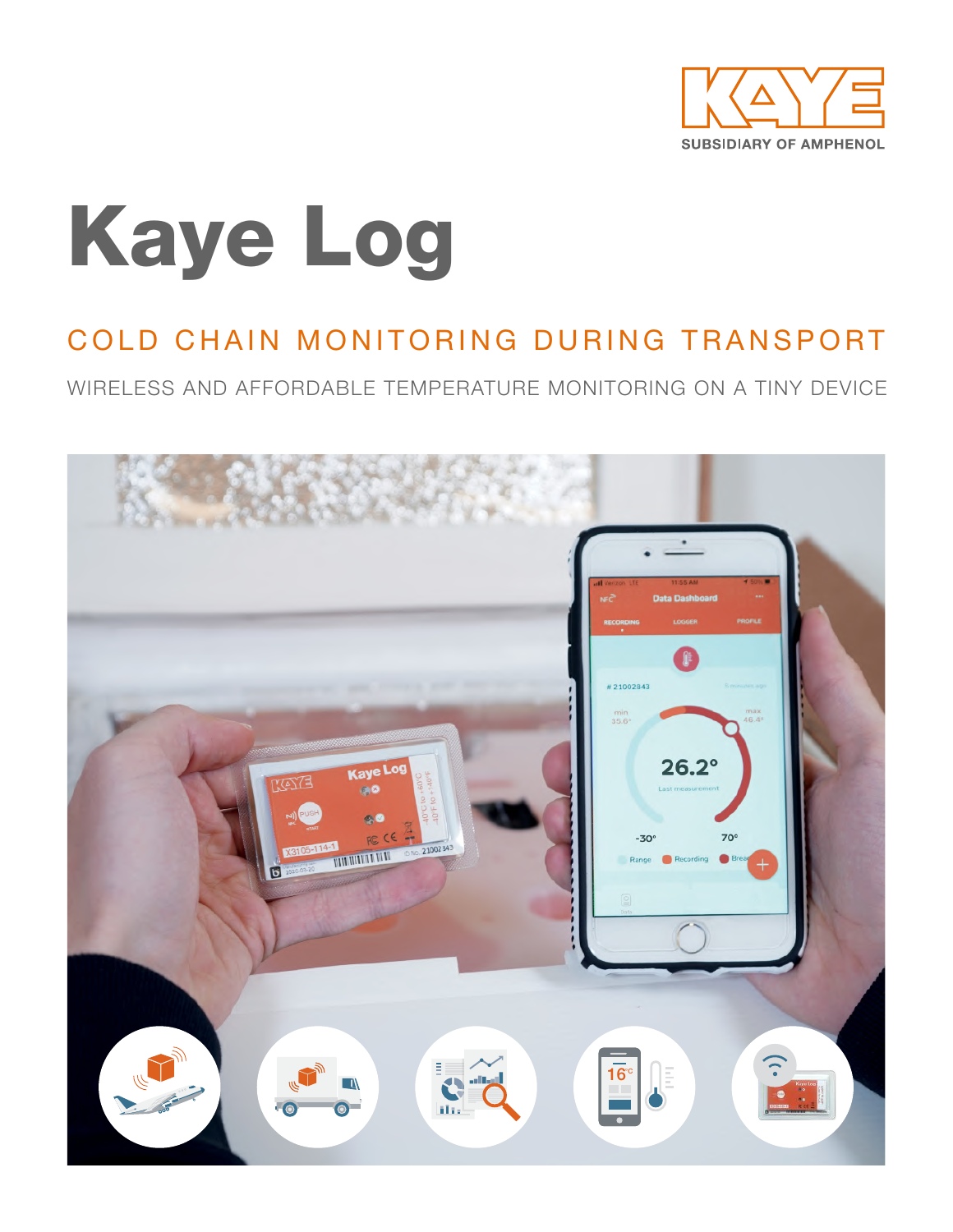

# Kaye Log

### COLD CHAIN MONITORING DURING TRANSPORT

WIRELESS AND AFFORDABLE TEMPERATURE MONITORING ON A TINY DEVICE

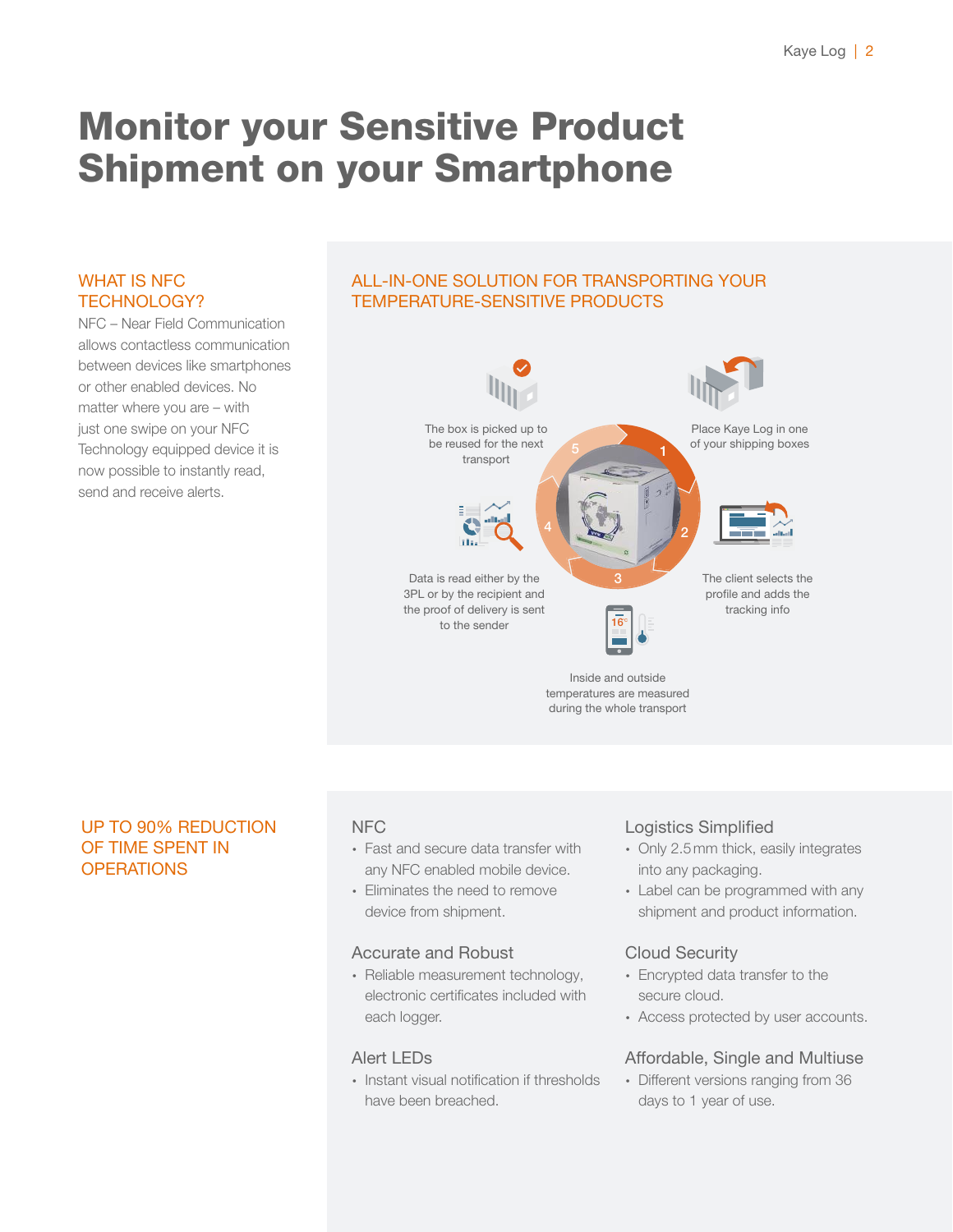### Monitor your Sensitive Product Shipment on your Smartphone

### WHAT IS NFC TECHNOLOGY?

NFC – Near Field Communication allows contactless communication between devices like smartphones or other enabled devices. No matter where you are – with just one swipe on your NFC Technology equipped device it is now possible to instantly read, send and receive alerts.

### ALL-IN-ONE SOLUTION FOR TRANSPORTING YOUR TEMPERATURE-SENSITIVE PRODUCTS



### UP TO 90% REDUCTION OF TIME SPENT IN **OPERATIONS**

### NFC

- ∙ Fast and secure data transfer with any NFC enabled mobile device.
- ∙ Eliminates the need to remove device from shipment.

### Accurate and Robust

∙ Reliable measurement technology, electronic certificates included with each logger.

### Alert LEDs

∙ Instant visual notification if thresholds have been breached.

### Logistics Simplified

- ∙ Only 2.5mm thick, easily integrates into any packaging.
- ∙ Label can be programmed with any shipment and product information.

### Cloud Security

- ∙ Encrypted data transfer to the secure cloud.
- ∙ Access protected by user accounts.

### Affordable, Single and Multiuse

∙ Different versions ranging from 36 days to 1 year of use.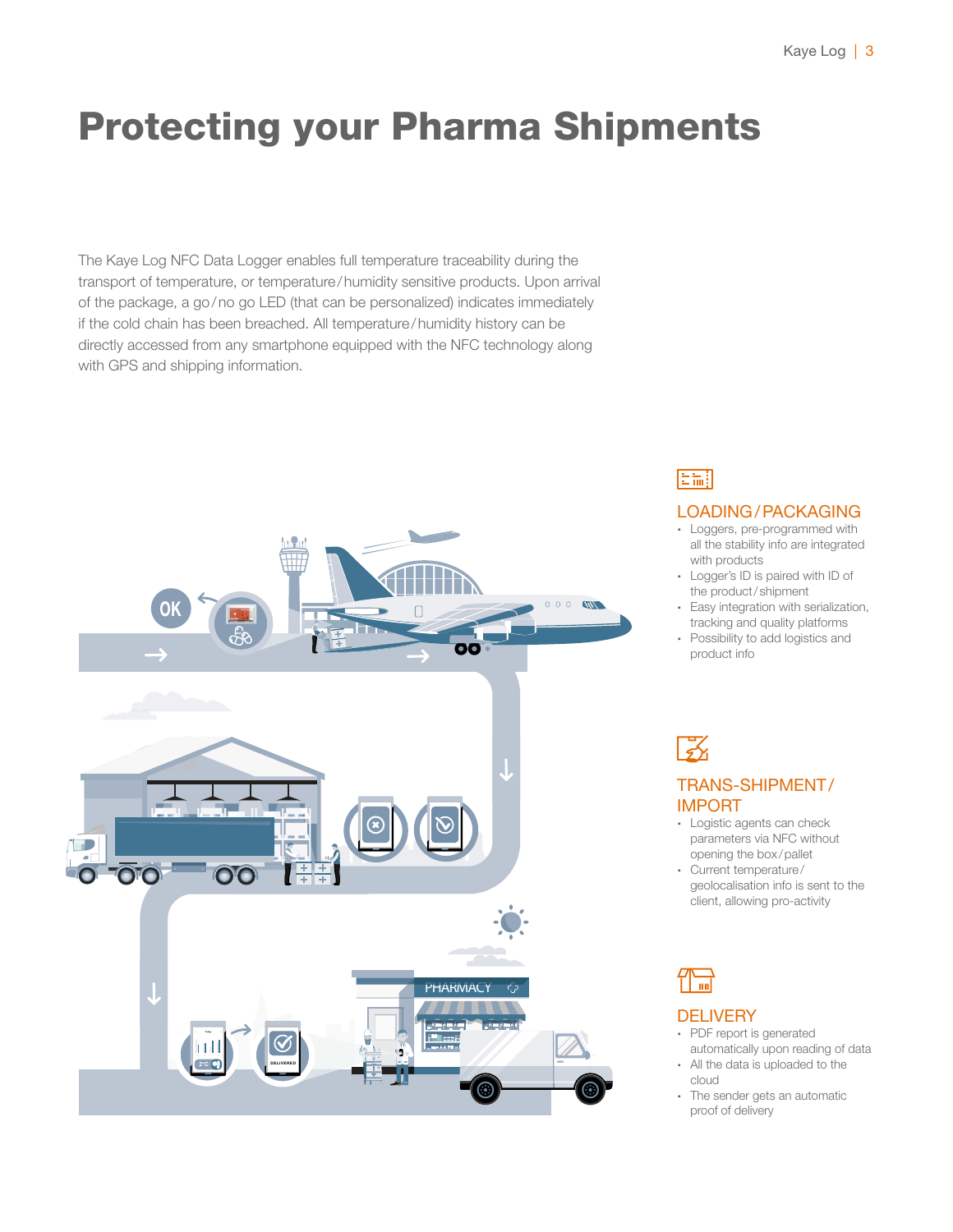### Protecting your Pharma Shipments

The Kaye Log NFC Data Logger enables full temperature traceability during the transport of temperature, or temperature/humidity sensitive products. Upon arrival of the package, a go/no go LED (that can be personalized) indicates immediately if the cold chain has been breached. All temperature/humidity history can be directly accessed from any smartphone equipped with the NFC technology along with GPS and shipping information.



### 旧論

#### LOADING/PACKAGING

- ∙ Loggers, pre-programmed with all the stability info are integrated with products
- ∙ Logger's ID is paired with ID of the product/ shipment
- ∙ Easy integration with serialization, tracking and quality platforms
- ∙ Possibility to add logistics and product info

### 区

### TRANS-SHIPMENT/ IMPORT

- ∙ Logistic agents can check parameters via NFC without opening the box/pallet
- ∙ Current temperature/ geolocalisation info is sent to the client, allowing pro-activity

### **DELIVERY**

- ∙ PDF report is generated automatically upon reading of data
- ∙ All the data is uploaded to the cloud
- ∙ The sender gets an automatic proof of delivery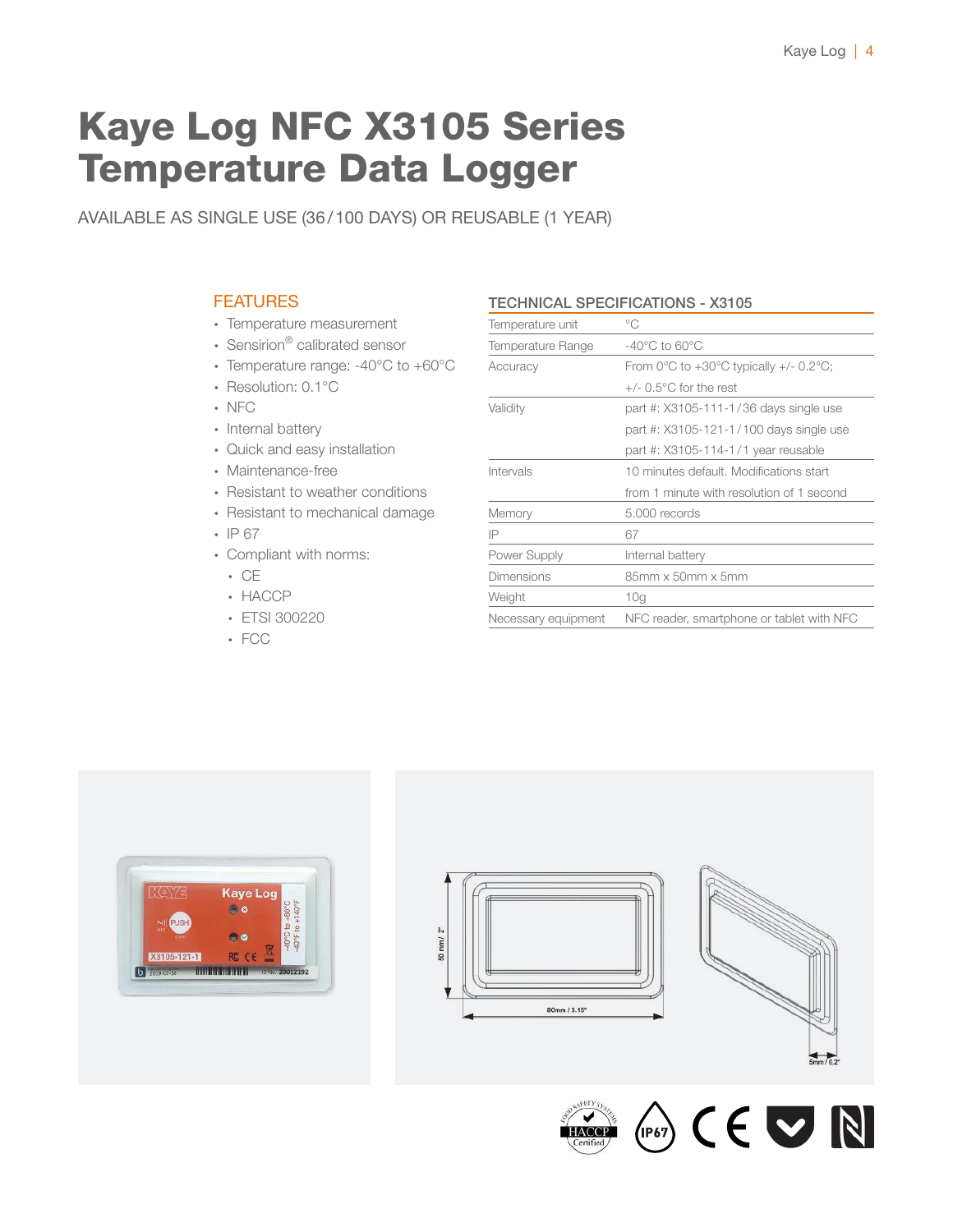### Kaye Log NFC X3105 Series Temperature Data Logger

AVAILABLE AS SINGLE USE (36/100 DAYS) OR REUSABLE (1 YEAR)

### **FEATURES**

- ∙ Temperature measurement
- ∙ Sensirion® calibrated sensor
- ∙ Temperature range: -40°C to +60°C
- ∙ Resolution: 0.1°C
- ∙ NFC
- ∙ Internal battery
- ∙ Quick and easy installation
- ∙ Maintenance-free
- ∙ Resistant to weather conditions
- ∙ Resistant to mechanical damage
- ∙ IP 67
- ∙ Compliant with norms:
	- ∙ CE
	- ∙ HACCP
	- ∙ ETSI 300220
	- ∙ FCC

#### TECHNICAL SPECIFICATIONS - X3105

| Temperature unit    | °C                                                                     |
|---------------------|------------------------------------------------------------------------|
| Temperature Range   | $-40^{\circ}$ C to 60 $^{\circ}$ C                                     |
| Accuracy            | From $0^{\circ}$ C to +30 $^{\circ}$ C typically +/- 0.2 $^{\circ}$ C; |
|                     | $+/-$ 0.5 $^{\circ}$ C for the rest                                    |
| Validity            | part #: X3105-111-1/36 days single use                                 |
|                     | part #: X3105-121-1/100 days single use                                |
|                     | part #: X3105-114-1/1 year reusable                                    |
| Intervals           | 10 minutes default. Modifications start                                |
|                     | from 1 minute with resolution of 1 second                              |
| Memory              | 5,000 records                                                          |
| IP                  | 67                                                                     |
| Power Supply        | Internal battery                                                       |
| Dimensions          | 85mm x 50mm x 5mm                                                      |
| Weight              | 10 <sub>q</sub>                                                        |
| Necessary equipment | NFC reader, smartphone or tablet with NFC                              |
|                     |                                                                        |









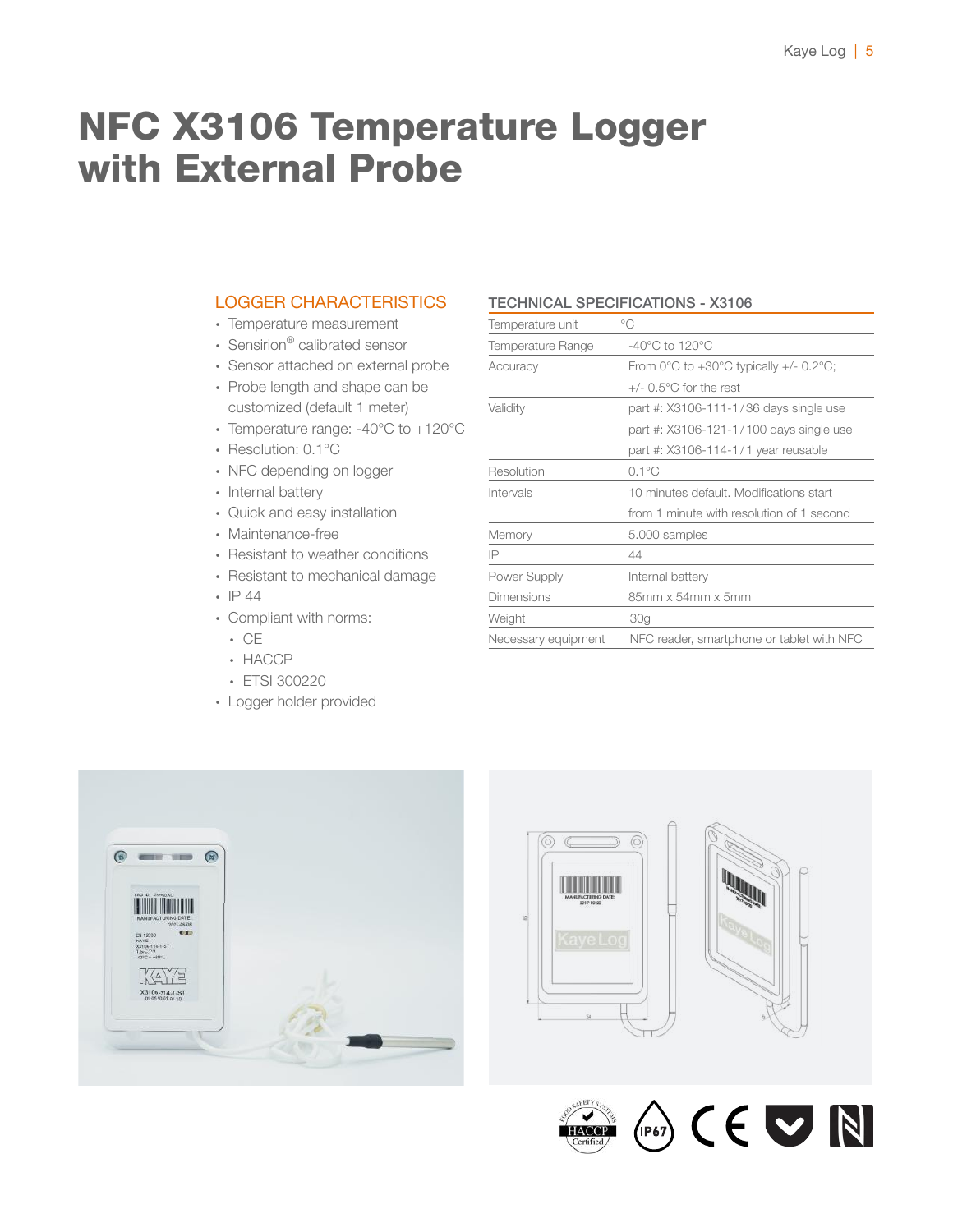### NFC X3106 Temperature Logger with External Probe

### LOGGER CHARACTERISTICS

- ∙ Temperature measurement
- ∙ Sensirion® calibrated sensor
- ∙ Sensor attached on external probe
- ∙ Probe length and shape can be customized (default 1 meter)
- ∙ Temperature range: -40°C to +120°C
- ∙ Resolution: 0.1°C
- ∙ NFC depending on logger
- ∙ Internal battery
- ∙ Quick and easy installation
- ∙ Maintenance-free
- ∙ Resistant to weather conditions
- ∙ Resistant to mechanical damage
- ∙ IP 44
- ∙ Compliant with norms:
	- ∙ CE
	- ∙ HACCP
	- ∙ ETSI 300220
- ∙ Logger holder provided

#### TECHNICAL SPECIFICATIONS - X3106

| Temperature unit    | °C                                                                     |
|---------------------|------------------------------------------------------------------------|
| Temperature Range   | $-40^{\circ}$ C to 120 $^{\circ}$ C                                    |
| Accuracy            | From $0^{\circ}$ C to +30 $^{\circ}$ C typically +/- 0.2 $^{\circ}$ C; |
|                     | $+/-$ 0.5 $^{\circ}$ C for the rest                                    |
| Validity            | part #: X3106-111-1/36 days single use                                 |
|                     | part #: X3106-121-1/100 days single use                                |
|                     | part #: X3106-114-1/1 year reusable                                    |
| Resolution          | $0.1^{\circ}$ C                                                        |
| Intervals           | 10 minutes default. Modifications start                                |
|                     | from 1 minute with resolution of 1 second                              |
| Memory              | 5.000 samples                                                          |
| IP                  | 44                                                                     |
| Power Supply        | Internal battery                                                       |
| <b>Dimensions</b>   | 85mm x 54mm x 5mm                                                      |
| Weight              | 30 <sub>q</sub>                                                        |
| Necessary equipment | NFC reader, smartphone or tablet with NFC                              |
|                     |                                                                        |







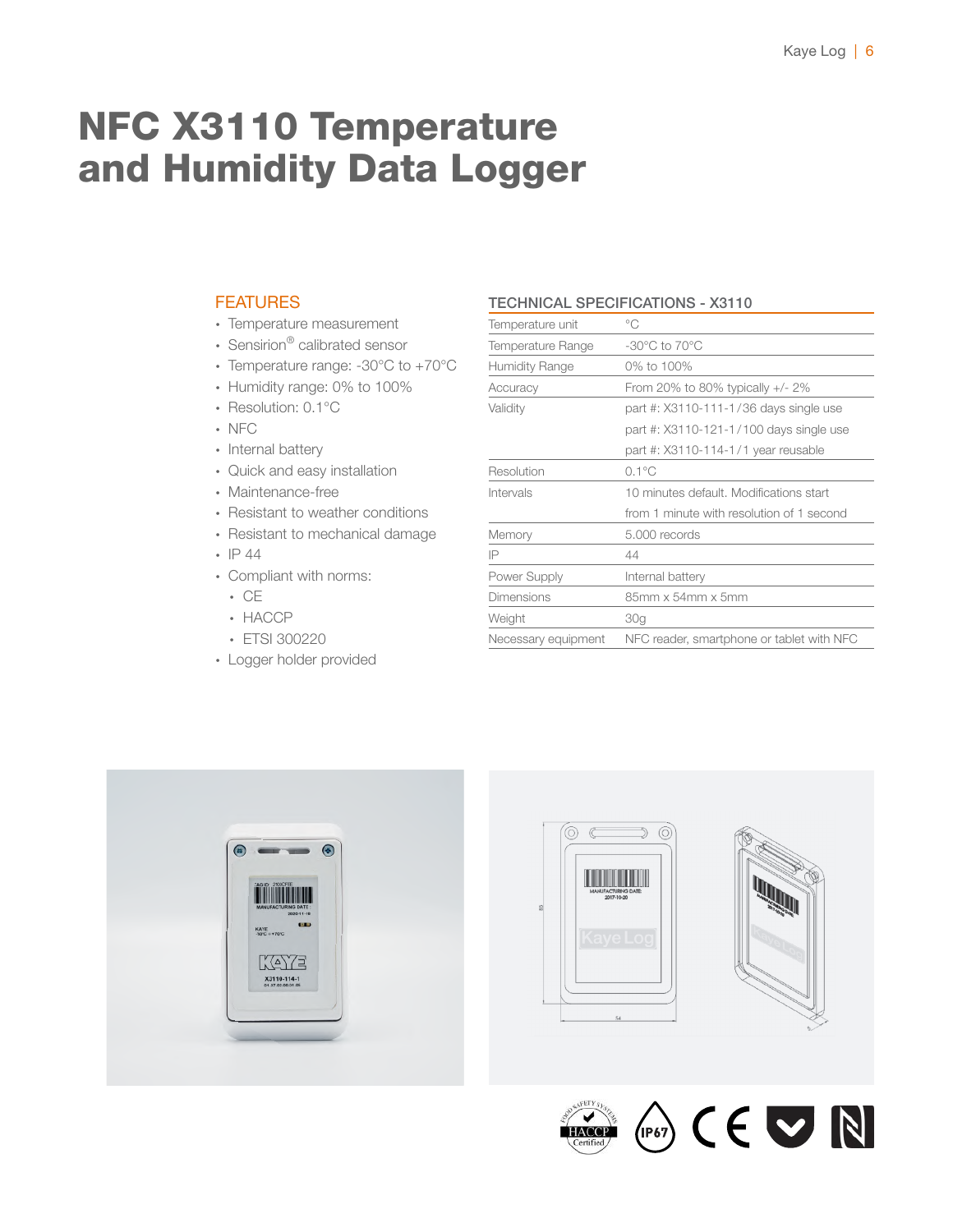### NFC X3110 Temperature and Humidity Data Logger

### **FEATURES**

- ∙ Temperature measurement
- ∙ Sensirion® calibrated sensor
- ∙ Temperature range: -30°C to +70°C
- ∙ Humidity range: 0% to 100%
- ∙ Resolution: 0.1°C
- ∙ NFC
- ∙ Internal battery
- ∙ Quick and easy installation
- ∙ Maintenance-free
- ∙ Resistant to weather conditions
- ∙ Resistant to mechanical damage
- ∙ IP 44
- ∙ Compliant with norms:
	- ∙ CE
	- ∙ HACCP
	- ∙ ETSI 300220
- ∙ Logger holder provided

#### TECHNICAL SPECIFICATIONS - X3110

| Temperature unit      | °C                                        |
|-----------------------|-------------------------------------------|
| Temperature Range     | $-30^{\circ}$ C to $70^{\circ}$ C         |
| <b>Humidity Range</b> | 0% to 100%                                |
| Accuracy              | From 20% to 80% typically $+/- 2\%$       |
| Validity              | part #: X3110-111-1/36 days single use    |
|                       | part #: X3110-121-1/100 days single use   |
|                       | part #: X3110-114-1/1 year reusable       |
| Resolution            | $0.1^{\circ}$ C                           |
| Intervals             | 10 minutes default. Modifications start   |
|                       | from 1 minute with resolution of 1 second |
| Memory                | 5,000 records                             |
| IP                    | 44                                        |
| Power Supply          | Internal battery                          |
| Dimensions            | 85mm x 54mm x 5mm                         |
| Weight                | 30 <sub>q</sub>                           |
| Necessary equipment   | NFC reader, smartphone or tablet with NFC |
|                       |                                           |







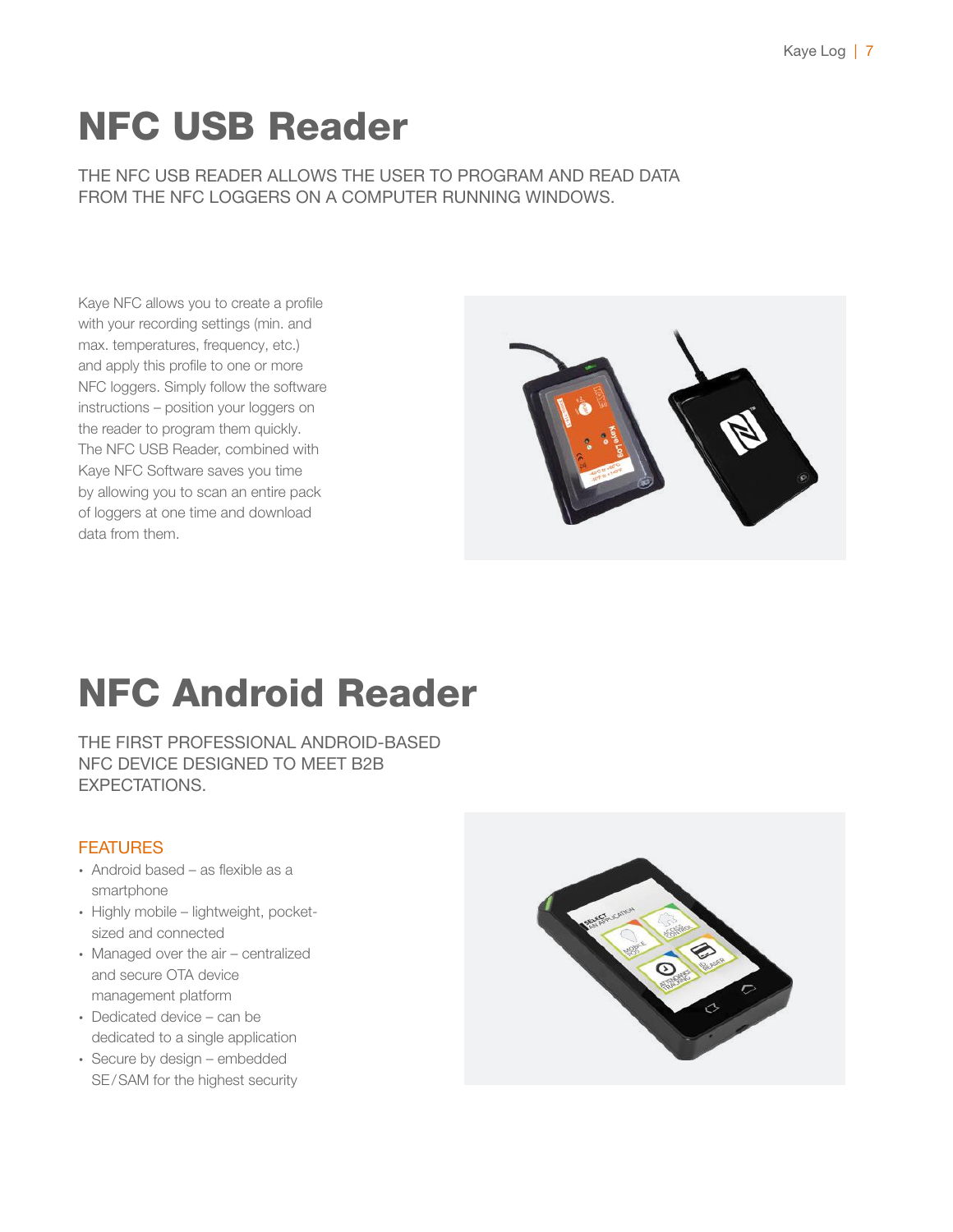## NFC USB Reader

THE NFC USB READER ALLOWS THE USER TO PROGRAM AND READ DATA FROM THE NFC LOGGERS ON A COMPUTER RUNNING WINDOWS.

Kaye NFC allows you to create a profile with your recording settings (min. and max. temperatures, frequency, etc.) and apply this profile to one or more NFC loggers. Simply follow the software instructions – position your loggers on the reader to program them quickly. The NFC USB Reader, combined with Kaye NFC Software saves you time by allowing you to scan an entire pack of loggers at one time and download data from them.



## NFC Android Reader

THE FIRST PROFESSIONAL ANDROID-BASED NFC DEVICE DESIGNED TO MEET B2B EXPECTATIONS.

### **FEATURES**

- ∙ Android based as flexible as a smartphone
- ∙ Highly mobile lightweight, pocketsized and connected
- ∙ Managed over the air centralized and secure OTA device management platform
- ∙ Dedicated device can be dedicated to a single application
- ∙ Secure by design embedded SE/SAM for the highest security